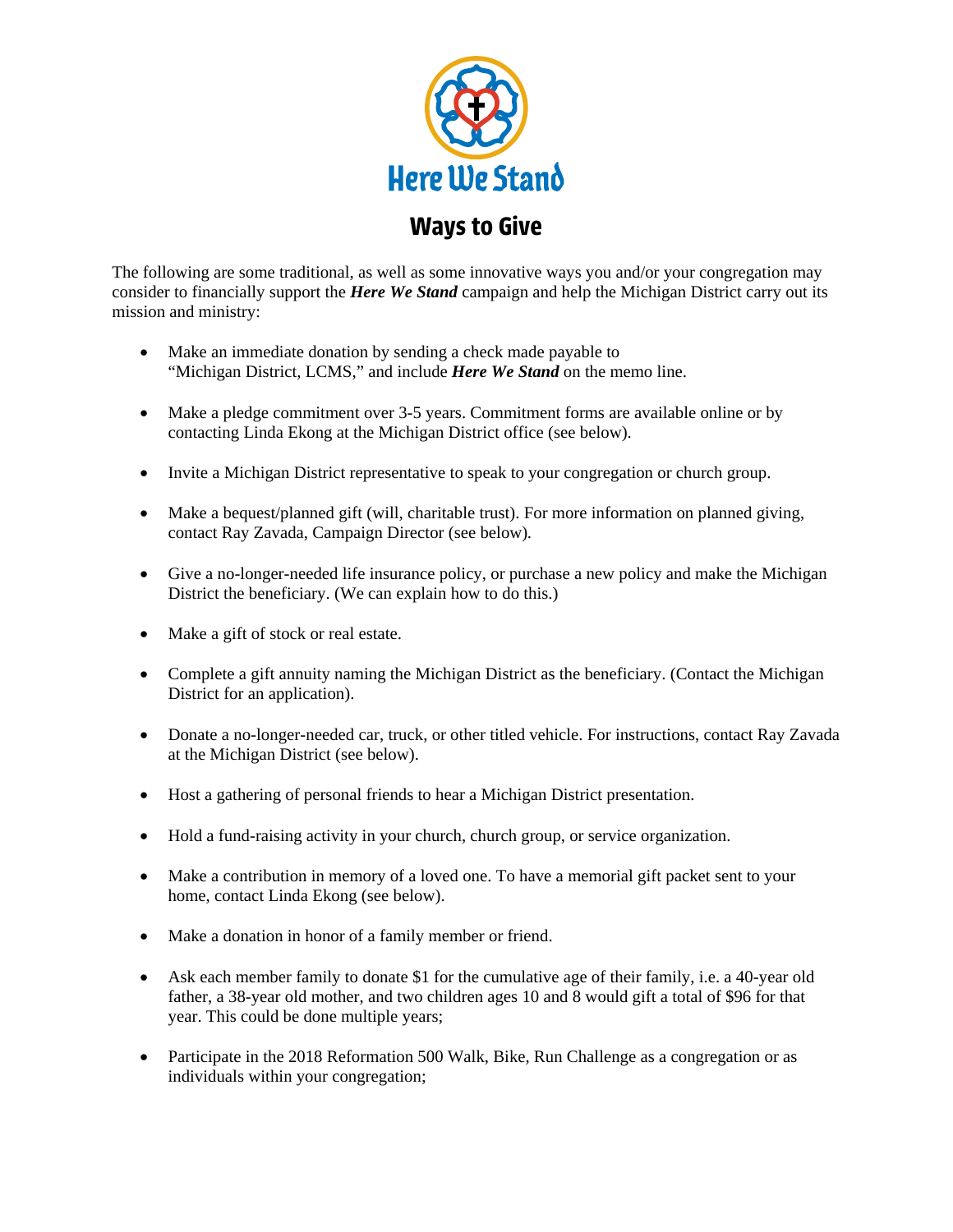

The following are some traditional, as well as some innovative ways you and/or your congregation may consider to financially support the *Here We Stand* campaign and help the Michigan District carry out its mission and ministry:

- Make an immediate donation by sending a check made payable to "Michigan District, LCMS," and include *Here We Stand* on the memo line.
- Make a pledge commitment over 3-5 years. Commitment forms are available online or by contacting Linda Ekong at the Michigan District office (see below).
- Invite a Michigan District representative to speak to your congregation or church group.
- Make a bequest/planned gift (will, charitable trust). For more information on planned giving, contact Ray Zavada, Campaign Director (see below)*.*
- Give a no-longer-needed life insurance policy, or purchase a new policy and make the Michigan District the beneficiary. (We can explain how to do this.)
- Make a gift of stock or real estate.
- Complete a gift annuity naming the Michigan District as the beneficiary. (Contact the Michigan District for an application).
- Donate a no-longer-needed car, truck, or other titled vehicle. For instructions, contact Ray Zavada at the Michigan District (see below).
- Host a gathering of personal friends to hear a Michigan District presentation.
- Hold a fund-raising activity in your church, church group, or service organization.
- Make a contribution in memory of a loved one. To have a memorial gift packet sent to your home, contact Linda Ekong (see below).
- Make a donation in honor of a family member or friend.
- Ask each member family to donate \$1 for the cumulative age of their family, i.e. a 40-year old father, a 38-year old mother, and two children ages 10 and 8 would gift a total of \$96 for that year. This could be done multiple years;
- Participate in the 2018 Reformation 500 Walk, Bike, Run Challenge as a congregation or as individuals within your congregation;